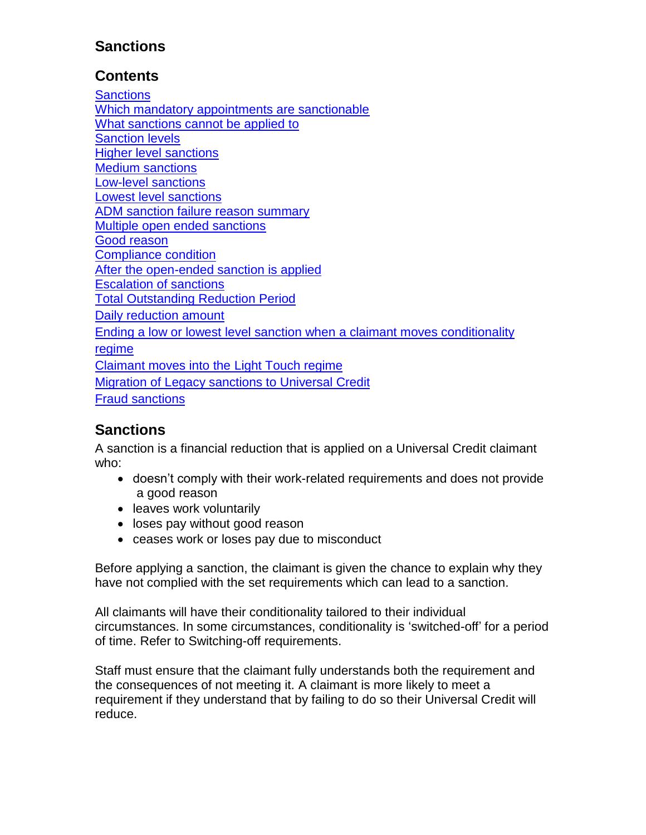# **Sanctions**

# **Contents**

**[Sanctions](#page-1-0)** [Which mandatory appointments are sanctionable](#page-1-0) [What sanctions cannot be applied to](#page-1-1) [Sanction levels](#page-2-0) [Higher level sanctions](#page-2-1) [Medium sanctions](#page-3-0) [Low-level sanctions](#page-3-1) [Lowest level sanctions](#page-4-0) [ADM sanction failure reason summary](#page-4-1) [Multiple open ended sanctions](#page-5-0) [Good reason](#page-6-0) [Compliance condition](#page-6-0) [After the open-ended sanction is applied](#page-6-0) [Escalation of sanctions](#page-7-0) [Total Outstanding Reduction Period](#page-8-0) [Daily reduction amount](#page-11-0) [Ending a low or lowest level sanction when a](#page-10-0) claimant moves conditionality [regime](#page-10-0) [Claimant moves into the Light Touch regime](#page-11-1) [Migration of Legacy sanctions to Universal Credit](#page-11-2) [Fraud sanctions](#page-11-3)

# **Sanctions**

A sanction is a financial reduction that is applied on a Universal Credit claimant who:

- doesn't comply with their work-related requirements and does not provide a good reason
- leaves work voluntarily
- loses pay without good reason
- ceases work or loses pay due to misconduct

Before applying a sanction, the claimant is given the chance to explain why they have not complied with the set requirements which can lead to a sanction.

All claimants will have their conditionality tailored to their individual circumstances. In some circumstances, conditionality is 'switched-off' for a period of time. Refer to Switching-off requirements.

Staff must ensure that the claimant fully understands both the requirement and the consequences of not meeting it. A claimant is more likely to meet a requirement if they understand that by failing to do so their Universal Credit will reduce.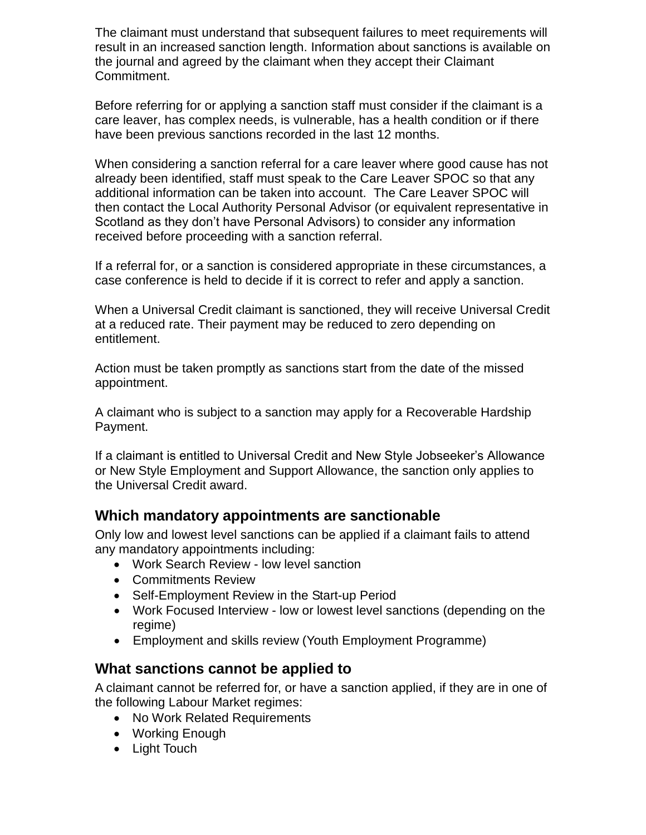The claimant must understand that subsequent failures to meet requirements will result in an increased sanction length. Information about sanctions is available on the journal and agreed by the claimant when they accept their Claimant Commitment.

Before referring for or applying a sanction staff must consider if the claimant is a care leaver, has complex needs, is vulnerable, has a health condition or if there have been previous sanctions recorded in the last 12 months.

When considering a sanction referral for a care leaver where good cause has not already been identified, staff must speak to the Care Leaver SPOC so that any additional information can be taken into account. The Care Leaver SPOC will then contact the Local Authority Personal Advisor (or equivalent representative in Scotland as they don't have Personal Advisors) to consider any information received before proceeding with a sanction referral.

If a referral for, or a sanction is considered appropriate in these circumstances, a case conference is held to decide if it is correct to refer and apply a sanction.

When a Universal Credit claimant is sanctioned, they will receive Universal Credit at a reduced rate. Their payment may be reduced to zero depending on entitlement.

Action must be taken promptly as sanctions start from the date of the missed appointment.

A claimant who is subject to a sanction may apply for a Recoverable Hardship Payment.

If a claimant is entitled to Universal Credit and New Style Jobseeker's Allowance or New Style Employment and Support Allowance, the sanction only applies to the Universal Credit award.

### <span id="page-1-0"></span>**Which mandatory appointments are sanctionable**

Only low and lowest level sanctions can be applied if a claimant fails to attend any mandatory appointments including:

- Work Search Review low level sanction
- Commitments Review
- Self-Employment Review in the Start-up Period
- Work Focused Interview low or lowest level sanctions (depending on the regime)
- Employment and skills review (Youth Employment Programme)

### <span id="page-1-1"></span>**What sanctions cannot be applied to**

A claimant cannot be referred for, or have a sanction applied, if they are in one of the following Labour Market regimes:

- No Work Related Requirements
- Working Enough
- Light Touch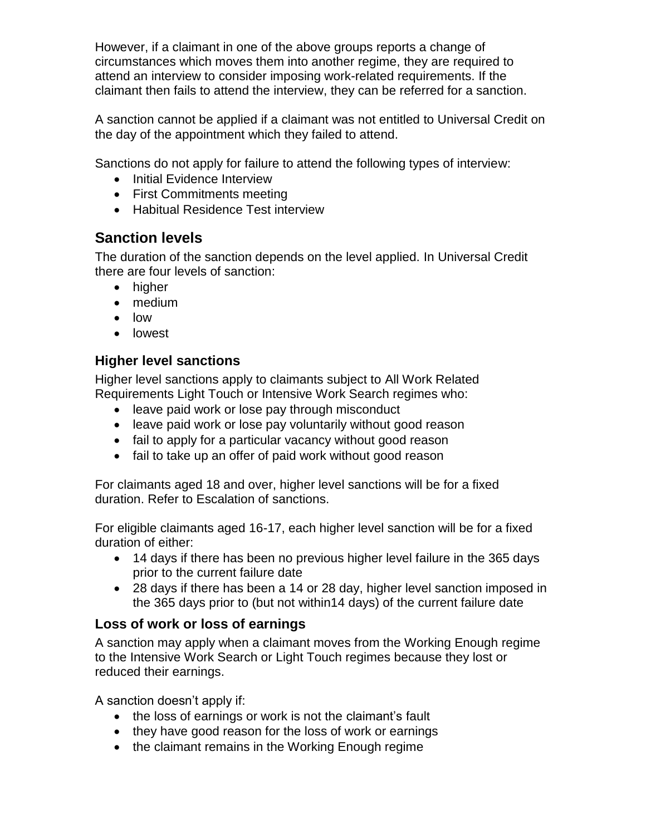However, if a claimant in one of the above groups reports a change of circumstances which moves them into another regime, they are required to attend an interview to consider imposing work-related requirements. If the claimant then fails to attend the interview, they can be referred for a sanction.

A sanction cannot be applied if a claimant was not entitled to Universal Credit on the day of the appointment which they failed to attend.

Sanctions do not apply for failure to attend the following types of interview:

- Initial Evidence Interview
- First Commitments meeting
- Habitual Residence Test interview

# <span id="page-2-0"></span>**Sanction levels**

The duration of the sanction depends on the level applied. In Universal Credit there are four levels of sanction:

- higher
- medium
- low
- **•** lowest

### <span id="page-2-1"></span>**Higher level sanctions**

Higher level sanctions apply to claimants subject to All Work Related Requirements Light Touch or Intensive Work Search regimes who:

- leave paid work or lose pay through misconduct
- leave paid work or lose pay voluntarily without good reason
- fail to apply for a particular vacancy without good reason
- fail to take up an offer of paid work without good reason

For claimants aged 18 and over, higher level sanctions will be for a fixed duration. Refer to Escalation of sanctions.

For eligible claimants aged 16-17, each higher level sanction will be for a fixed duration of either:

- 14 days if there has been no previous higher level failure in the 365 days prior to the current failure date
- 28 days if there has been a 14 or 28 day, higher level sanction imposed in the 365 days prior to (but not within14 days) of the current failure date

### **Loss of work or loss of earnings**

A sanction may apply when a claimant moves from the Working Enough regime to the Intensive Work Search or Light Touch regimes because they lost or reduced their earnings.

A sanction doesn't apply if:

- the loss of earnings or work is not the claimant's fault
- they have good reason for the loss of work or earnings
- the claimant remains in the Working Enough regime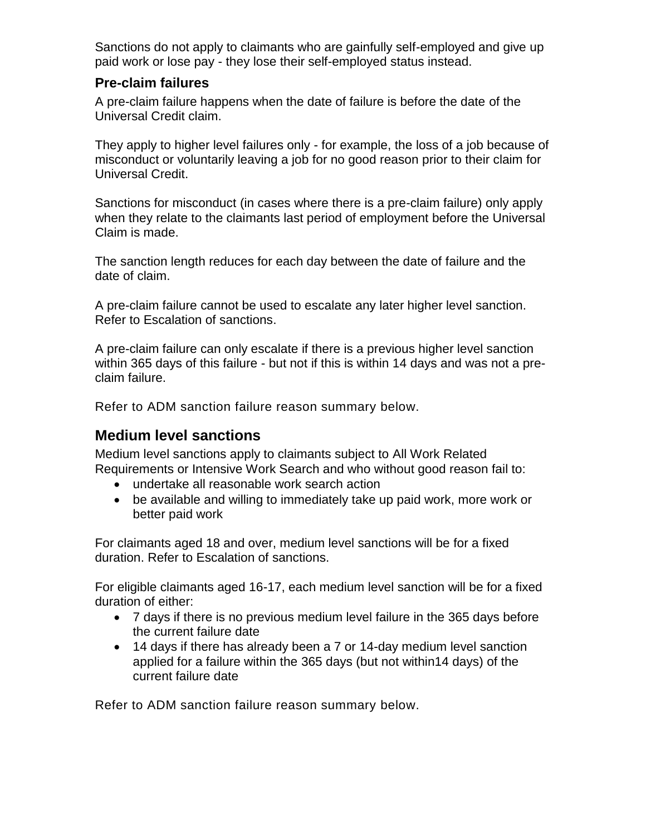Sanctions do not apply to claimants who are gainfully self-employed and give up paid work or lose pay - they lose their self-employed status instead.

#### **Pre-claim failures**

A pre-claim failure happens when the date of failure is before the date of the Universal Credit claim.

They apply to higher level failures only - for example, the loss of a job because of misconduct or voluntarily leaving a job for no good reason prior to their claim for Universal Credit.

Sanctions for misconduct (in cases where there is a pre-claim failure) only apply when they relate to the claimants last period of employment before the Universal Claim is made.

The sanction length reduces for each day between the date of failure and the date of claim.

A pre-claim failure cannot be used to escalate any later higher level sanction. Refer to Escalation of sanctions.

A pre-claim failure can only escalate if there is a previous higher level sanction within 365 days of this failure - but not if this is within 14 days and was not a preclaim failure.

Refer to ADM sanction failure reason summary below.

### <span id="page-3-0"></span>**Medium level sanctions**

Medium level sanctions apply to claimants subject to All Work Related Requirements or Intensive Work Search and who without good reason fail to:

- undertake all reasonable work search action
- be available and willing to immediately take up paid work, more work or better paid work

For claimants aged 18 and over, medium level sanctions will be for a fixed duration. Refer to Escalation of sanctions.

For eligible claimants aged 16-17, each medium level sanction will be for a fixed duration of either:

- 7 days if there is no previous medium level failure in the 365 days before the current failure date
- <span id="page-3-1"></span> 14 days if there has already been a 7 or 14-day medium level sanction applied for a failure within the 365 days (but not within14 days) of the current failure date

Refer to ADM sanction failure reason summary [b](https://intranet.dwp.gov.uk/#ADM sanction)elow.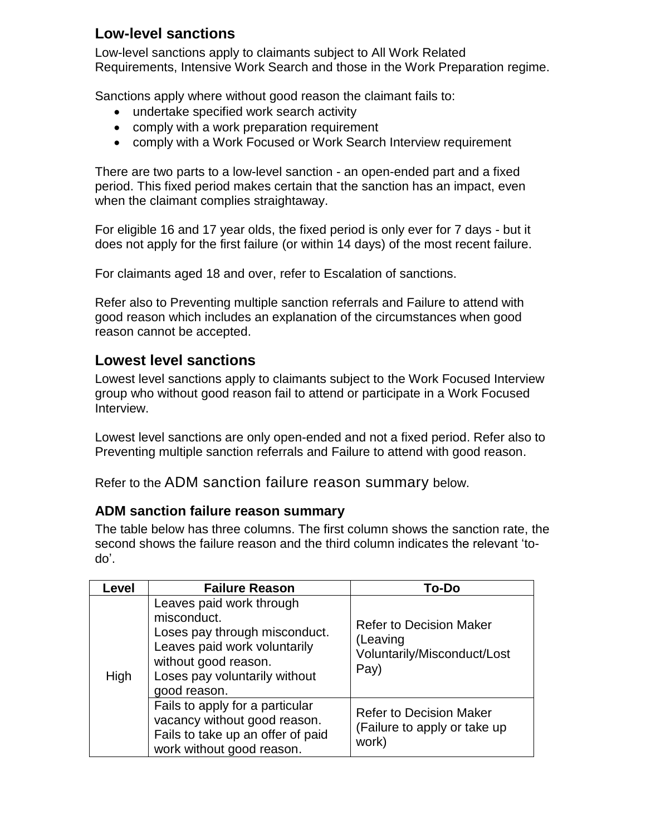# **Low-level sanctions**

Low-level sanctions apply to claimants subject to All Work Related Requirements, Intensive Work Search and those in the Work Preparation regime.

Sanctions apply where without good reason the claimant fails to:

- undertake specified work search activity
- comply with a work preparation requirement
- comply with a Work Focused or Work Search Interview requirement

There are two parts to a low-level sanction - an open-ended part and a fixed period. This fixed period makes certain that the sanction has an impact, even when the claimant complies straightaway.

For eligible 16 and 17 year olds, the fixed period is only ever for 7 days - but it does not apply for the first failure (or within 14 days) of the most recent failure.

For claimants aged 18 and over, refer to Escalation of sanctions.

Refer also to Preventing multiple sanction referrals and Failure to attend with good reason which includes an explanation of the circumstances when good reason cannot be accepted.

### <span id="page-4-0"></span>**Lowest level sanctions**

Lowest level sanctions apply to claimants subject to the Work Focused Interview group who without good reason fail to attend or participate in a Work Focused Interview.

Lowest level sanctions are only open-ended and not a fixed period. Refer also to Preventing multiple sanction referrals and Failure to attend with good reason.

Refer to the ADM sanction failure reason summary below.

### <span id="page-4-1"></span>**ADM sanction failure reason summary**

The table below has three columns. The first column shows the sanction rate, the second shows the failure reason and the third column indicates the relevant 'todo'.

| Level | <b>Failure Reason</b>                                                                                                                                                             | <b>To-Do</b>                                                                      |
|-------|-----------------------------------------------------------------------------------------------------------------------------------------------------------------------------------|-----------------------------------------------------------------------------------|
| High  | Leaves paid work through<br>misconduct.<br>Loses pay through misconduct.<br>Leaves paid work voluntarily<br>without good reason.<br>Loses pay voluntarily without<br>good reason. | <b>Refer to Decision Maker</b><br>(Leaving<br>Voluntarily/Misconduct/Lost<br>Pay) |
|       | Fails to apply for a particular<br>vacancy without good reason.<br>Fails to take up an offer of paid<br>work without good reason.                                                 | <b>Refer to Decision Maker</b><br>(Failure to apply or take up<br>work)           |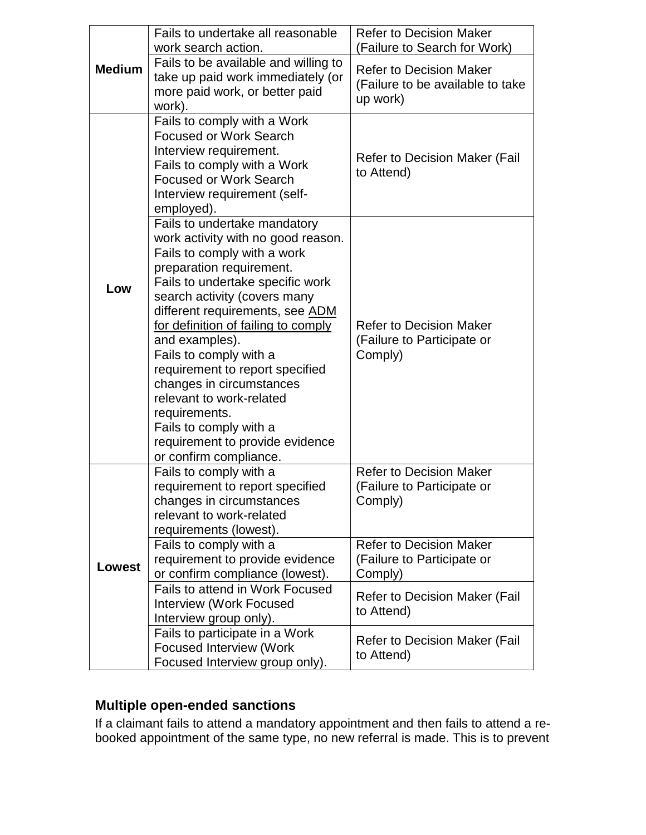|               | Fails to undertake all reasonable<br>work search action.                                                                                                                                                                                                                                                                                                                                                                                                                                                                   | <b>Refer to Decision Maker</b><br>(Failure to Search for Work)                 |
|---------------|----------------------------------------------------------------------------------------------------------------------------------------------------------------------------------------------------------------------------------------------------------------------------------------------------------------------------------------------------------------------------------------------------------------------------------------------------------------------------------------------------------------------------|--------------------------------------------------------------------------------|
| <b>Medium</b> | Fails to be available and willing to<br>take up paid work immediately (or<br>more paid work, or better paid<br>work).                                                                                                                                                                                                                                                                                                                                                                                                      | <b>Refer to Decision Maker</b><br>(Failure to be available to take<br>up work) |
|               | Fails to comply with a Work<br><b>Focused or Work Search</b><br>Interview requirement.<br>Fails to comply with a Work<br><b>Focused or Work Search</b><br>Interview requirement (self-<br>employed).                                                                                                                                                                                                                                                                                                                       | <b>Refer to Decision Maker (Fail</b><br>to Attend)                             |
| Low           | Fails to undertake mandatory<br>work activity with no good reason.<br>Fails to comply with a work<br>preparation requirement.<br>Fails to undertake specific work<br>search activity (covers many<br>different requirements, see ADM<br>for definition of failing to comply<br>and examples).<br>Fails to comply with a<br>requirement to report specified<br>changes in circumstances<br>relevant to work-related<br>requirements.<br>Fails to comply with a<br>requirement to provide evidence<br>or confirm compliance. | <b>Refer to Decision Maker</b><br>(Failure to Participate or<br>Comply)        |
|               | Fails to comply with a<br>requirement to report specified<br>changes in circumstances<br>relevant to work-related<br>requirements (lowest).                                                                                                                                                                                                                                                                                                                                                                                | <b>Refer to Decision Maker</b><br>(Failure to Participate or<br>Comply)        |
| <b>Lowest</b> | Fails to comply with a<br>requirement to provide evidence<br>or confirm compliance (lowest).                                                                                                                                                                                                                                                                                                                                                                                                                               | <b>Refer to Decision Maker</b><br>(Failure to Participate or<br>Comply)        |
|               | Fails to attend in Work Focused<br><b>Interview (Work Focused</b><br>Interview group only).                                                                                                                                                                                                                                                                                                                                                                                                                                | <b>Refer to Decision Maker (Fail</b><br>to Attend)                             |
|               | Fails to participate in a Work<br><b>Focused Interview (Work</b><br>Focused Interview group only).                                                                                                                                                                                                                                                                                                                                                                                                                         | <b>Refer to Decision Maker (Fail</b><br>to Attend)                             |

# <span id="page-5-0"></span>**Multiple open-ended sanctions**

If a claimant fails to attend a mandatory appointment and then fails to attend a rebooked appointment of the same type, no new referral is made. This is to prevent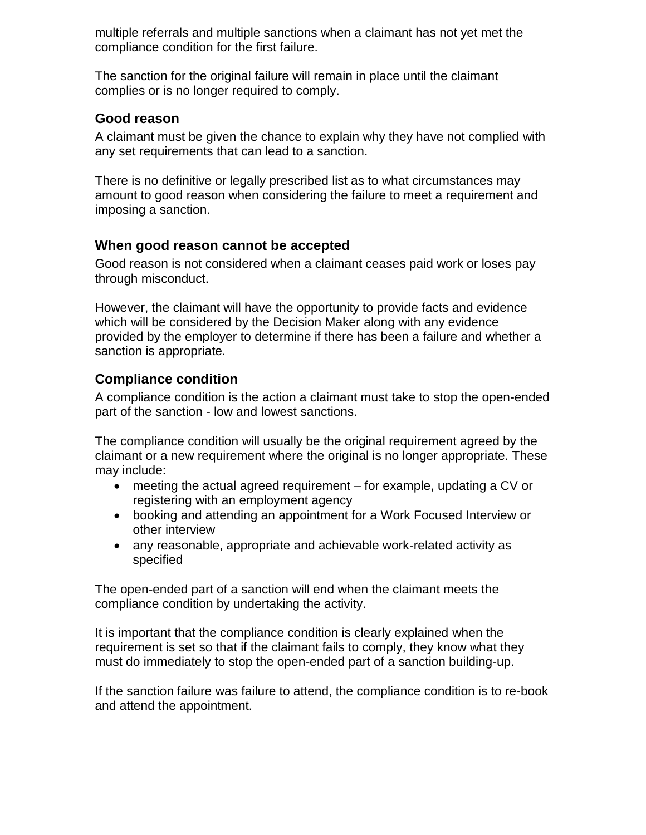multiple referrals and multiple sanctions when a claimant has not yet met the compliance condition for the first failure.

The sanction for the original failure will remain in place until the claimant complies or is no longer required to comply.

#### <span id="page-6-0"></span>**Good reason**

A claimant must be given the chance to explain why they have not complied with any set requirements that can lead to a sanction.

There is no definitive or legally prescribed list as to what circumstances may amount to good reason when considering the failure to meet a requirement and imposing a sanction.

#### **When good reason cannot be accepted**

Good reason is not considered when a claimant ceases paid work or loses pay through misconduct.

However, the claimant will have the opportunity to provide facts and evidence which will be considered by the Decision Maker along with any evidence provided by the employer to determine if there has been a failure and whether a sanction is appropriate.

#### **Compliance condition**

A compliance condition is the action a claimant must take to stop the open-ended part of the sanction - low and lowest sanctions.

The compliance condition will usually be the original requirement agreed by the claimant or a new requirement where the original is no longer appropriate. These may include:

- meeting the actual agreed requirement for example, updating a CV or registering with an employment agency
- booking and attending an appointment for a Work Focused Interview or other interview
- any reasonable, appropriate and achievable work-related activity as specified

The open-ended part of a sanction will end when the claimant meets the compliance condition by undertaking the activity.

It is important that the compliance condition is clearly explained when the requirement is set so that if the claimant fails to comply, they know what they must do immediately to stop the open-ended part of a sanction building-up.

If the sanction failure was failure to attend, the compliance condition is to re-book and attend the appointment.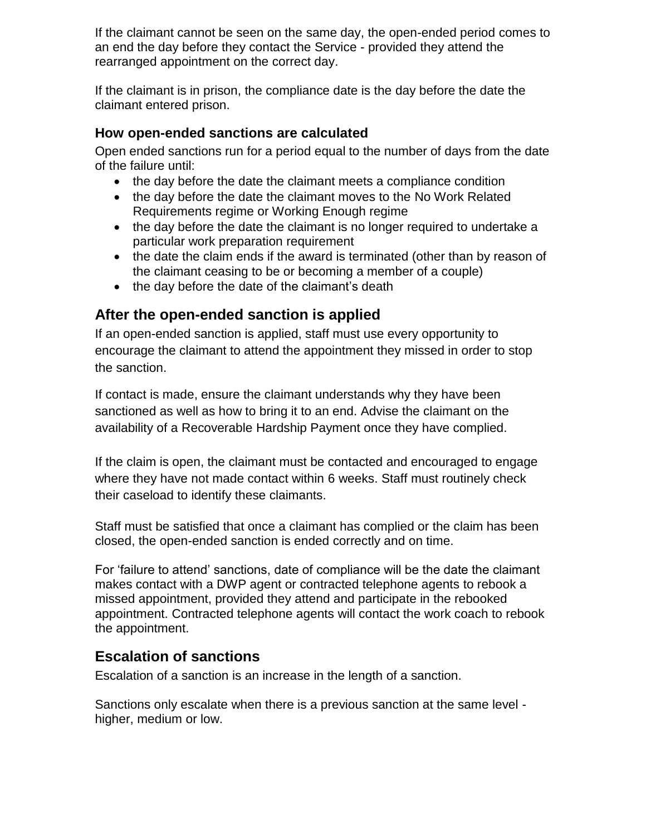If the claimant cannot be seen on the same day, the open-ended period comes to an end the day before they contact the Service - provided they attend the rearranged appointment on the correct day.

If the claimant is in prison, the compliance date is the day before the date the claimant entered prison.

#### **How open-ended sanctions are calculated**

Open ended sanctions run for a period equal to the number of days from the date of the failure until:

- the day before the date the claimant meets a compliance condition
- the day before the date the claimant moves to the No Work Related Requirements regime or Working Enough regime
- the day before the date the claimant is no longer required to undertake a particular work preparation requirement
- the date the claim ends if the award is terminated (other than by reason of the claimant ceasing to be or becoming a member of a couple)
- the day before the date of the claimant's death

### **After the open-ended sanction is applied**

If an open-ended sanction is applied, staff must use every opportunity to encourage the claimant to attend the appointment they missed in order to stop the sanction.

If contact is made, ensure the claimant understands why they have been sanctioned as well as how to bring it to an end. Advise the claimant on the availability of a Recoverable Hardship Payment once they have complied.

If the claim is open, the claimant must be contacted and encouraged to engage where they have not made contact within 6 weeks. Staff must routinely check their caseload to identify these claimants.

Staff must be satisfied that once a claimant has complied or the claim has been closed, the open-ended sanction is ended correctly and on time.

For 'failure to attend' sanctions, date of compliance will be the date the claimant makes contact with a DWP agent or contracted telephone agents to rebook a missed appointment, provided they attend and participate in the rebooked appointment. Contracted telephone agents will contact the work coach to rebook the appointment.

## <span id="page-7-0"></span>**Escalation of sanctions**

Escalation of a sanction is an increase in the length of a sanction.

Sanctions only escalate when there is a previous sanction at the same level higher, medium or low.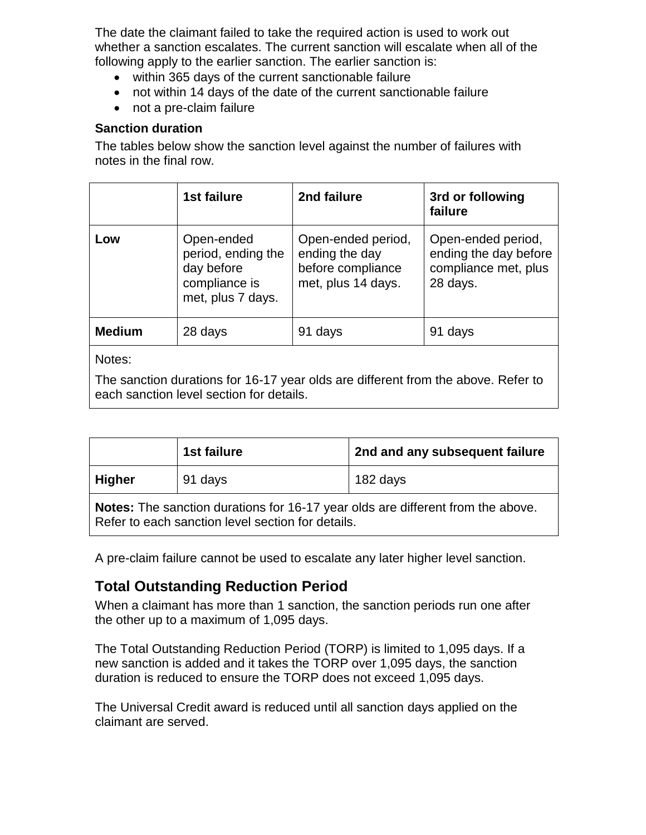The date the claimant failed to take the required action is used to work out whether a sanction escalates. The current sanction will escalate when all of the following apply to the earlier sanction. The earlier sanction is:

- within 365 days of the current sanctionable failure
- not within 14 days of the date of the current sanctionable failure
- not a pre-claim failure

#### **Sanction duration**

The tables below show the sanction level against the number of failures with notes in the final row.

<span id="page-8-0"></span>

|               | 1st failure                                                                          | 2nd failure                                                                     | 3rd or following<br>failure                                                     |
|---------------|--------------------------------------------------------------------------------------|---------------------------------------------------------------------------------|---------------------------------------------------------------------------------|
| Low           | Open-ended<br>period, ending the<br>day before<br>compliance is<br>met, plus 7 days. | Open-ended period,<br>ending the day<br>before compliance<br>met, plus 14 days. | Open-ended period,<br>ending the day before<br>compliance met, plus<br>28 days. |
| <b>Medium</b> | 28 days                                                                              | 91 days                                                                         | 91 days                                                                         |
| Notes:        |                                                                                      |                                                                                 |                                                                                 |

The sanction durations for 16-17 year olds are different from the above. Refer to each sanction level section for details.

|                                                                                                                                      | 1st failure | 2nd and any subsequent failure |
|--------------------------------------------------------------------------------------------------------------------------------------|-------------|--------------------------------|
| <b>Higher</b>                                                                                                                        | 91 days     | 182 days                       |
| Notes: The sanction durations for 16-17 year olds are different from the above.<br>Refer to each sanction level section for details. |             |                                |

A pre-claim failure cannot be used to escalate any later higher level sanction.

## **Total Outstanding Reduction Period**

When a claimant has more than 1 sanction, the sanction periods run one after the other up to a maximum of 1,095 days.

The Total Outstanding Reduction Period (TORP) is limited to 1,095 days. If a new sanction is added and it takes the TORP over 1,095 days, the sanction duration is reduced to ensure the TORP does not exceed 1,095 days.

The Universal Credit award is reduced until all sanction days applied on the claimant are served.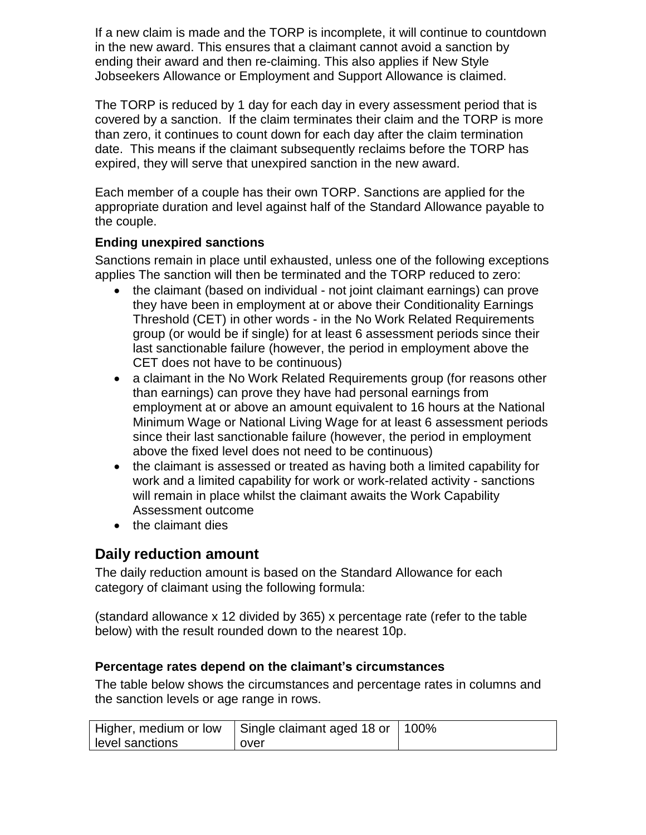If a new claim is made and the TORP is incomplete, it will continue to countdown in the new award. This ensures that a claimant cannot avoid a sanction by ending their award and then re-claiming. This also applies if New Style Jobseekers Allowance or Employment and Support Allowance is claimed.

The TORP is reduced by 1 day for each day in every assessment period that is covered by a sanction. If the claim terminates their claim and the TORP is more than zero, it continues to count down for each day after the claim termination date. This means if the claimant subsequently reclaims before the TORP has expired, they will serve that unexpired sanction in the new award.

Each member of a couple has their own TORP. Sanctions are applied for the appropriate duration and level against half of the Standard Allowance payable to the couple.

#### **Ending unexpired sanctions**

Sanctions remain in place until exhausted, unless one of the following exceptions applies The sanction will then be terminated and the TORP reduced to zero:

- the claimant (based on individual not joint claimant earnings) can prove they have been in employment at or above their Conditionality Earnings Threshold (CET) in other words - in the No Work Related Requirements group (or would be if single) for at least 6 assessment periods since their last sanctionable failure (however, the period in employment above the CET does not have to be continuous)
- a claimant in the No Work Related Requirements group (for reasons other than earnings) can prove they have had personal earnings from employment at or above an amount equivalent to 16 hours at the National Minimum Wage or National Living Wage for at least 6 assessment periods since their last sanctionable failure (however, the period in employment above the fixed level does not need to be continuous)
- the claimant is assessed or treated as having both a limited capability for work and a limited capability for work or work-related activity - sanctions will remain in place whilst the claimant awaits the Work Capability Assessment outcome
- the claimant dies

## **Daily reduction amount**

The daily reduction amount is based on the Standard Allowance for each category of claimant using the following formula:

(standard allowance x 12 divided by 365) x percentage rate (refer to the table below) with the result rounded down to the nearest 10p.

#### **Percentage rates depend on the claimant's circumstances**

The table below shows the circumstances and percentage rates in columns and the sanction levels or age range in rows.

|                 | Higher, medium or low   Single claimant aged 18 or   100% |  |
|-----------------|-----------------------------------------------------------|--|
| level sanctions | over                                                      |  |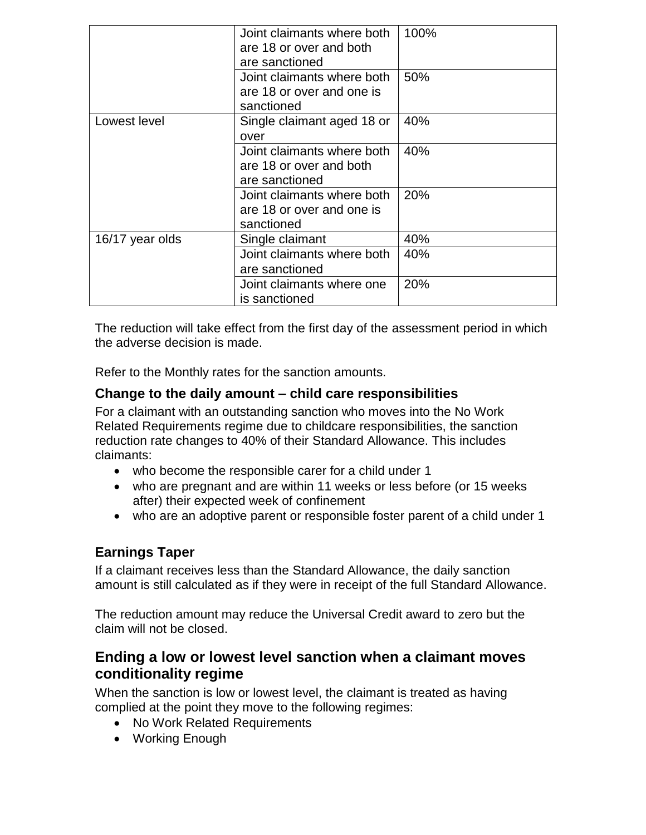|                 | Joint claimants where both<br>are 18 or over and both<br>are sanctioned | 100% |
|-----------------|-------------------------------------------------------------------------|------|
|                 | Joint claimants where both<br>are 18 or over and one is<br>sanctioned   | 50%  |
| Lowest level    | Single claimant aged 18 or<br>over                                      | 40%  |
|                 | Joint claimants where both<br>are 18 or over and both<br>are sanctioned | 40%  |
|                 | Joint claimants where both<br>are 18 or over and one is<br>sanctioned   | 20%  |
| 16/17 year olds | Single claimant                                                         | 40%  |
|                 | Joint claimants where both<br>are sanctioned                            | 40%  |
|                 | Joint claimants where one<br>is sanctioned                              | 20%  |

The reduction will take effect from the first day of the assessment period in which the adverse decision is made.

Refer to the Monthly rates for the sanction amounts.

#### **Change to the daily amount – child care responsibilities**

For a claimant with an outstanding sanction who moves into the No Work Related Requirements regime due to childcare responsibilities, the sanction reduction rate changes to 40% of their Standard Allowance. This includes claimants:

- who become the responsible carer for a child under 1
- who are pregnant and are within 11 weeks or less before (or 15 weeks after) their expected week of confinement
- who are an adoptive parent or responsible foster parent of a child under 1

### **Earnings Taper**

If a claimant receives less than the Standard Allowance, the daily sanction amount is still calculated as if they were in receipt of the full Standard Allowance.

The reduction amount may reduce the Universal Credit award to zero but the claim will not be closed.

### <span id="page-10-0"></span>**Ending a low or lowest level sanction when a claimant moves conditionality regime**

When the sanction is low or lowest level, the claimant is treated as having complied at the point they move to the following regimes:

- No Work Related Requirements
- Working Enough